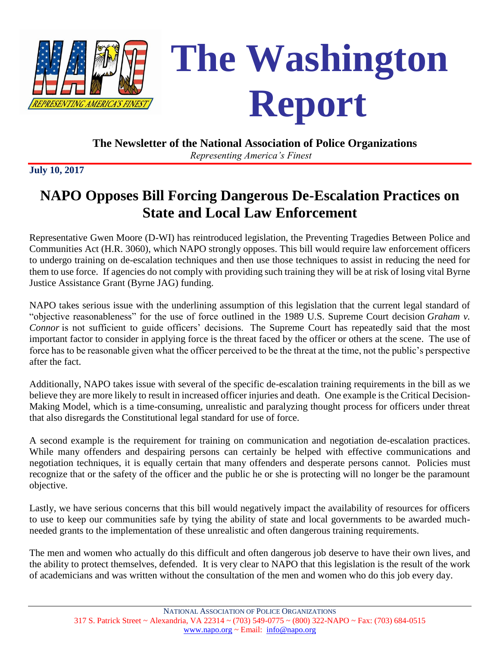



#### **The Newsletter of the National Association of Police Organizations**

*Representing America's Finest*

**July 10, 2017**

# **NAPO Opposes Bill Forcing Dangerous De-Escalation Practices on State and Local Law Enforcement**

Representative Gwen Moore (D-WI) has reintroduced legislation, the Preventing Tragedies Between Police and Communities Act (H.R. 3060), which NAPO strongly opposes. This bill would require law enforcement officers to undergo training on de-escalation techniques and then use those techniques to assist in reducing the need for them to use force. If agencies do not comply with providing such training they will be at risk of losing vital Byrne Justice Assistance Grant (Byrne JAG) funding.

NAPO takes serious issue with the underlining assumption of this legislation that the current legal standard of "objective reasonableness" for the use of force outlined in the 1989 U.S. Supreme Court decision *Graham v. Connor* is not sufficient to guide officers' decisions*.* The Supreme Court has repeatedly said that the most important factor to consider in applying force is the threat faced by the officer or others at the scene. The use of force has to be reasonable given what the officer perceived to be the threat at the time, not the public's perspective after the fact.

Additionally, NAPO takes issue with several of the specific de-escalation training requirements in the bill as we believe they are more likely to result in increased officer injuries and death. One example is the Critical Decision-Making Model, which is a time-consuming, unrealistic and paralyzing thought process for officers under threat that also disregards the Constitutional legal standard for use of force.

A second example is the requirement for training on communication and negotiation de-escalation practices. While many offenders and despairing persons can certainly be helped with effective communications and negotiation techniques, it is equally certain that many offenders and desperate persons cannot. Policies must recognize that or the safety of the officer and the public he or she is protecting will no longer be the paramount objective.

Lastly, we have serious concerns that this bill would negatively impact the availability of resources for officers to use to keep our communities safe by tying the ability of state and local governments to be awarded muchneeded grants to the implementation of these unrealistic and often dangerous training requirements.

The men and women who actually do this difficult and often dangerous job deserve to have their own lives, and the ability to protect themselves, defended. It is very clear to NAPO that this legislation is the result of the work of academicians and was written without the consultation of the men and women who do this job every day.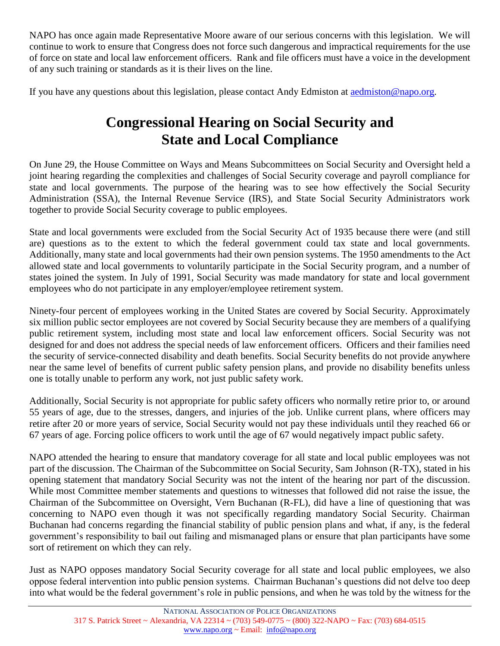NAPO has once again made Representative Moore aware of our serious concerns with this legislation. We will continue to work to ensure that Congress does not force such dangerous and impractical requirements for the use of force on state and local law enforcement officers. Rank and file officers must have a voice in the development of any such training or standards as it is their lives on the line.

If you have any questions about this legislation, please contact Andy Edmiston at [aedmiston@napo.org.](mailto:aedmiston@napo.org)

# **Congressional Hearing on Social Security and State and Local Compliance**

On June 29, the House Committee on Ways and Means Subcommittees on Social Security and Oversight held a joint hearing regarding the complexities and challenges of Social Security coverage and payroll compliance for state and local governments. The purpose of the hearing was to see how effectively the Social Security Administration (SSA), the Internal Revenue Service (IRS), and State Social Security Administrators work together to provide Social Security coverage to public employees.

State and local governments were excluded from the Social Security Act of 1935 because there were (and still are) questions as to the extent to which the federal government could tax state and local governments. Additionally, many state and local governments had their own pension systems. The 1950 amendments to the Act allowed state and local governments to voluntarily participate in the Social Security program, and a number of states joined the system. In July of 1991, Social Security was made mandatory for state and local government employees who do not participate in any employer/employee retirement system.

Ninety-four percent of employees working in the United States are covered by Social Security. Approximately six million public sector employees are not covered by Social Security because they are members of a qualifying public retirement system, including most state and local law enforcement officers. Social Security was not designed for and does not address the special needs of law enforcement officers. Officers and their families need the security of service-connected disability and death benefits. Social Security benefits do not provide anywhere near the same level of benefits of current public safety pension plans, and provide no disability benefits unless one is totally unable to perform any work, not just public safety work.

Additionally, Social Security is not appropriate for public safety officers who normally retire prior to, or around 55 years of age, due to the stresses, dangers, and injuries of the job. Unlike current plans, where officers may retire after 20 or more years of service, Social Security would not pay these individuals until they reached 66 or 67 years of age. Forcing police officers to work until the age of 67 would negatively impact public safety.

NAPO attended the hearing to ensure that mandatory coverage for all state and local public employees was not part of the discussion. The Chairman of the Subcommittee on Social Security, Sam Johnson (R-TX), stated in his opening statement that mandatory Social Security was not the intent of the hearing nor part of the discussion. While most Committee member statements and questions to witnesses that followed did not raise the issue, the Chairman of the Subcommittee on Oversight, Vern Buchanan (R-FL), did have a line of questioning that was concerning to NAPO even though it was not specifically regarding mandatory Social Security. Chairman Buchanan had concerns regarding the financial stability of public pension plans and what, if any, is the federal government's responsibility to bail out failing and mismanaged plans or ensure that plan participants have some sort of retirement on which they can rely.

Just as NAPO opposes mandatory Social Security coverage for all state and local public employees, we also oppose federal intervention into public pension systems. Chairman Buchanan's questions did not delve too deep into what would be the federal government's role in public pensions, and when he was told by the witness for the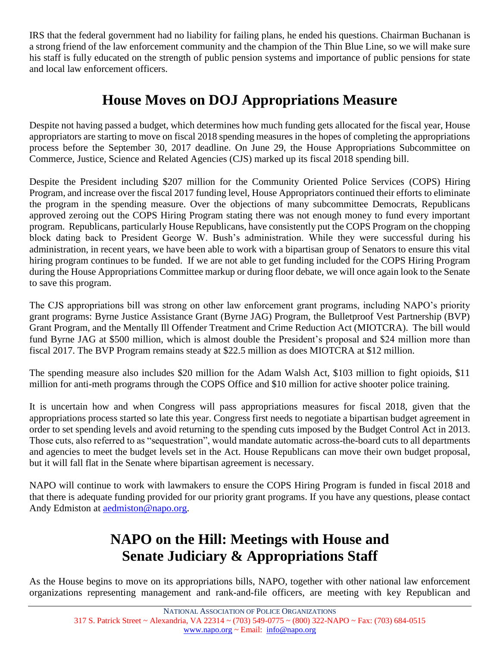IRS that the federal government had no liability for failing plans, he ended his questions. Chairman Buchanan is a strong friend of the law enforcement community and the champion of the Thin Blue Line, so we will make sure his staff is fully educated on the strength of public pension systems and importance of public pensions for state and local law enforcement officers.

### **House Moves on DOJ Appropriations Measure**

Despite not having passed a budget, which determines how much funding gets allocated for the fiscal year, House appropriators are starting to move on fiscal 2018 spending measures in the hopes of completing the appropriations process before the September 30, 2017 deadline. On June 29, the House Appropriations Subcommittee on Commerce, Justice, Science and Related Agencies (CJS) marked up its fiscal 2018 spending bill.

Despite the President including \$207 million for the Community Oriented Police Services (COPS) Hiring Program, and increase over the fiscal 2017 funding level, House Appropriators continued their efforts to eliminate the program in the spending measure. Over the objections of many subcommittee Democrats, Republicans approved zeroing out the COPS Hiring Program stating there was not enough money to fund every important program. Republicans, particularly House Republicans, have consistently put the COPS Program on the chopping block dating back to President George W. Bush's administration. While they were successful during his administration, in recent years, we have been able to work with a bipartisan group of Senators to ensure this vital hiring program continues to be funded. If we are not able to get funding included for the COPS Hiring Program during the House Appropriations Committee markup or during floor debate, we will once again look to the Senate to save this program.

The CJS appropriations bill was strong on other law enforcement grant programs, including NAPO's priority grant programs: Byrne Justice Assistance Grant (Byrne JAG) Program, the Bulletproof Vest Partnership (BVP) Grant Program, and the Mentally Ill Offender Treatment and Crime Reduction Act (MIOTCRA). The bill would fund Byrne JAG at \$500 million, which is almost double the President's proposal and \$24 million more than fiscal 2017. The BVP Program remains steady at \$22.5 million as does MIOTCRA at \$12 million.

The spending measure also includes \$20 million for the Adam Walsh Act, \$103 million to fight opioids, \$11 million for anti-meth programs through the COPS Office and \$10 million for active shooter police training.

It is uncertain how and when Congress will pass appropriations measures for fiscal 2018, given that the appropriations process started so late this year. Congress first needs to negotiate a bipartisan budget agreement in order to set spending levels and avoid returning to the spending cuts imposed by the Budget Control Act in 2013. Those cuts, also referred to as "sequestration", would mandate automatic across-the-board cuts to all departments and agencies to meet the budget levels set in the Act. House Republicans can move their own budget proposal, but it will fall flat in the Senate where bipartisan agreement is necessary.

NAPO will continue to work with lawmakers to ensure the COPS Hiring Program is funded in fiscal 2018 and that there is adequate funding provided for our priority grant programs. If you have any questions, please contact Andy Edmiston at [aedmiston@napo.org.](mailto:aedmiston@napo.org)

# **NAPO on the Hill: Meetings with House and Senate Judiciary & Appropriations Staff**

As the House begins to move on its appropriations bills, NAPO, together with other national law enforcement organizations representing management and rank-and-file officers, are meeting with key Republican and